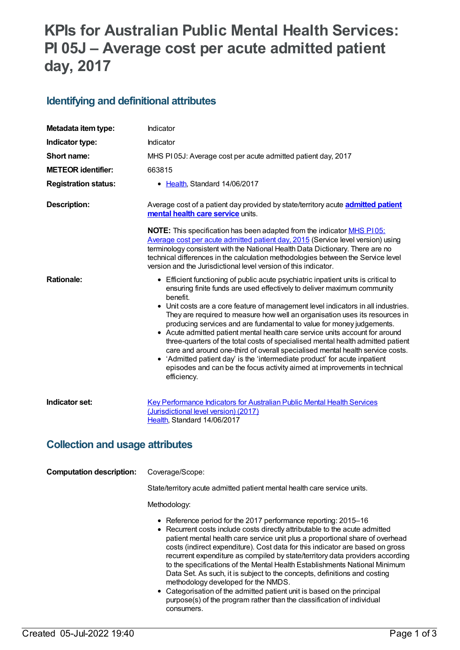# **KPIs for Australian Public Mental Health Services: PI 05J – Average cost per acute admitted patient day, 2017**

#### **Identifying and definitional attributes**

| Metadata item type:                    | Indicator                                                                                                                                                                                                                                                                                                                                                                                                                                                                                                                                                                                                                                                                                                                                                                                                                                            |  |
|----------------------------------------|------------------------------------------------------------------------------------------------------------------------------------------------------------------------------------------------------------------------------------------------------------------------------------------------------------------------------------------------------------------------------------------------------------------------------------------------------------------------------------------------------------------------------------------------------------------------------------------------------------------------------------------------------------------------------------------------------------------------------------------------------------------------------------------------------------------------------------------------------|--|
| Indicator type:                        | Indicator                                                                                                                                                                                                                                                                                                                                                                                                                                                                                                                                                                                                                                                                                                                                                                                                                                            |  |
| Short name:                            | MHS PI05J: Average cost per acute admitted patient day, 2017                                                                                                                                                                                                                                                                                                                                                                                                                                                                                                                                                                                                                                                                                                                                                                                         |  |
| <b>METEOR identifier:</b>              | 663815                                                                                                                                                                                                                                                                                                                                                                                                                                                                                                                                                                                                                                                                                                                                                                                                                                               |  |
| <b>Registration status:</b>            | • Health, Standard 14/06/2017                                                                                                                                                                                                                                                                                                                                                                                                                                                                                                                                                                                                                                                                                                                                                                                                                        |  |
| <b>Description:</b>                    | Average cost of a patient day provided by state/territory acute <b>admitted patient</b><br>mental health care service units.                                                                                                                                                                                                                                                                                                                                                                                                                                                                                                                                                                                                                                                                                                                         |  |
|                                        | <b>NOTE:</b> This specification has been adapted from the indicator <b>MHS P105:</b><br>Average cost per acute admitted patient day, 2015 (Service level version) using<br>terminology consistent with the National Health Data Dictionary. There are no<br>technical differences in the calculation methodologies between the Service level<br>version and the Jurisdictional level version of this indicator.                                                                                                                                                                                                                                                                                                                                                                                                                                      |  |
| <b>Rationale:</b>                      | • Efficient functioning of public acute psychiatric inpatient units is critical to<br>ensuring finite funds are used effectively to deliver maximum community<br>benefit.<br>• Unit costs are a core feature of management level indicators in all industries.<br>They are required to measure how well an organisation uses its resources in<br>producing services and are fundamental to value for money judgements.<br>• Acute admitted patient mental health care service units account for around<br>three-quarters of the total costs of specialised mental health admitted patient<br>care and around one-third of overall specialised mental health service costs.<br>• 'Admitted patient day' is the 'intermediate product' for acute inpatient<br>episodes and can be the focus activity aimed at improvements in technical<br>efficiency. |  |
| Indicator set:                         | Key Performance Indicators for Australian Public Mental Health Services<br>(Jurisdictional level version) (2017)<br>Health, Standard 14/06/2017                                                                                                                                                                                                                                                                                                                                                                                                                                                                                                                                                                                                                                                                                                      |  |
| <b>Collection and usage attributes</b> |                                                                                                                                                                                                                                                                                                                                                                                                                                                                                                                                                                                                                                                                                                                                                                                                                                                      |  |
| <b>Computation description:</b>        | Coverage/Scope:                                                                                                                                                                                                                                                                                                                                                                                                                                                                                                                                                                                                                                                                                                                                                                                                                                      |  |
|                                        | State/territory acute admitted patient mental health care service units.                                                                                                                                                                                                                                                                                                                                                                                                                                                                                                                                                                                                                                                                                                                                                                             |  |
|                                        | Methodology:                                                                                                                                                                                                                                                                                                                                                                                                                                                                                                                                                                                                                                                                                                                                                                                                                                         |  |
|                                        | • Reference period for the 2017 performance reporting: 2015-16<br>• Recurrent costs include costs directly attributable to the acute admitted<br>patient mental health care service unit plus a proportional share of overhead<br>costs (indirect expenditure). Cost data for this indicator are based on gross<br>recurrent expenditure as compiled by state/territory data providers according                                                                                                                                                                                                                                                                                                                                                                                                                                                     |  |

Data Set. As such, it is subject to the concepts, definitions and costing methodology developed for the NMDS. Categorisation of the admitted patient unit is based on the principal purpose(s) of the program rather than the classification of individual consumers.

to the specifications of the Mental Health Establishments National Minimum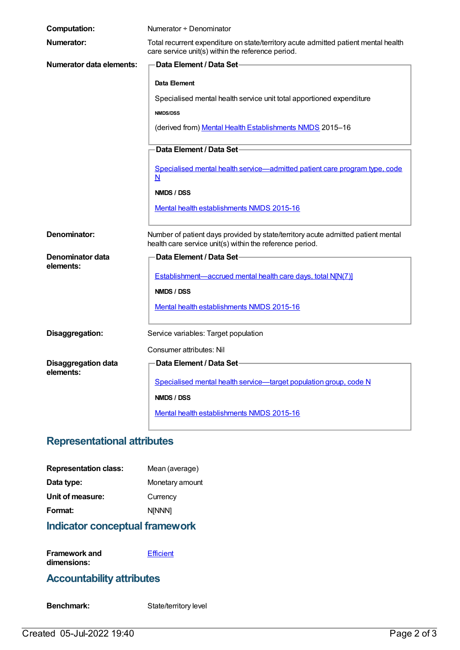| <b>Computation:</b>                     | Numerator + Denominator                                                                                                                      |
|-----------------------------------------|----------------------------------------------------------------------------------------------------------------------------------------------|
| Numerator:                              | Total recurrent expenditure on state/territory acute admitted patient mental health<br>care service unit(s) within the reference period.     |
| <b>Numerator data elements:</b>         | <b>Data Element / Data Set-</b>                                                                                                              |
|                                         | Data Element                                                                                                                                 |
|                                         | Specialised mental health service unit total apportioned expenditure                                                                         |
|                                         | <b>NMDS/DSS</b>                                                                                                                              |
|                                         | (derived from) Mental Health Establishments NMDS 2015-16                                                                                     |
|                                         | Data Element / Data Set                                                                                                                      |
|                                         | Specialised mental health service-admitted patient care program type, code<br>N                                                              |
|                                         | NMDS / DSS                                                                                                                                   |
|                                         | Mental health establishments NMDS 2015-16                                                                                                    |
| Denominator:                            | Number of patient days provided by state/territory acute admitted patient mental<br>health care service unit(s) within the reference period. |
| Denominator data                        | Data Element / Data Set-                                                                                                                     |
| elements:                               | Establishment-accrued mental health care days, total N[N(7)]                                                                                 |
|                                         | NMDS / DSS                                                                                                                                   |
|                                         | Mental health establishments NMDS 2015-16                                                                                                    |
| Disaggregation:                         | Service variables: Target population                                                                                                         |
|                                         | Consumer attributes: Nil                                                                                                                     |
| <b>Disaggregation data</b><br>elements: | Data Element / Data Set-                                                                                                                     |
|                                         | Specialised mental health service-target population group, code N                                                                            |
|                                         | NMDS / DSS                                                                                                                                   |
|                                         | Mental health establishments NMDS 2015-16                                                                                                    |

### **Representational attributes**

| <b>Representation class:</b> | Mean (average)  |
|------------------------------|-----------------|
| Data type:                   | Monetary amount |
| Unit of measure:             | Currency        |
| Format:                      | <b>NINNN1</b>   |
|                              |                 |

## **Indicator conceptual framework**

**Framework and dimensions:**

**[Efficient](https://meteor.aihw.gov.au/content/584870)** 

### **Accountability attributes**

Benchmark: State/territory level